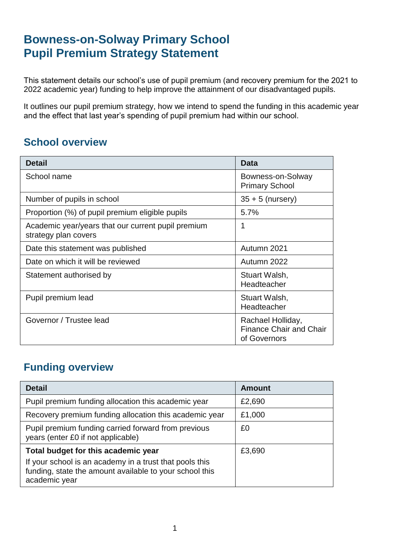# **Bowness-on-Solway Primary School Pupil Premium Strategy Statement**

This statement details our school's use of pupil premium (and recovery premium for the 2021 to 2022 academic year) funding to help improve the attainment of our disadvantaged pupils.

It outlines our pupil premium strategy, how we intend to spend the funding in this academic year and the effect that last year's spending of pupil premium had within our school.

### **School overview**

| <b>Detail</b>                                                              | Data                                                                |
|----------------------------------------------------------------------------|---------------------------------------------------------------------|
| School name                                                                | Bowness-on-Solway<br><b>Primary School</b>                          |
| Number of pupils in school                                                 | $35 + 5$ (nursery)                                                  |
| Proportion (%) of pupil premium eligible pupils                            | 5.7%                                                                |
| Academic year/years that our current pupil premium<br>strategy plan covers | 1                                                                   |
| Date this statement was published                                          | Autumn 2021                                                         |
| Date on which it will be reviewed                                          | Autumn 2022                                                         |
| Statement authorised by                                                    | Stuart Walsh,<br>Headteacher                                        |
| Pupil premium lead                                                         | Stuart Walsh,<br>Headteacher                                        |
| Governor / Trustee lead                                                    | Rachael Holliday,<br><b>Finance Chair and Chair</b><br>of Governors |

### **Funding overview**

| <b>Detail</b>                                                                                                                       | <b>Amount</b> |
|-------------------------------------------------------------------------------------------------------------------------------------|---------------|
| Pupil premium funding allocation this academic year                                                                                 | £2,690        |
| Recovery premium funding allocation this academic year                                                                              | £1,000        |
| Pupil premium funding carried forward from previous<br>years (enter £0 if not applicable)                                           | £0            |
| Total budget for this academic year                                                                                                 | £3,690        |
| If your school is an academy in a trust that pools this<br>funding, state the amount available to your school this<br>academic year |               |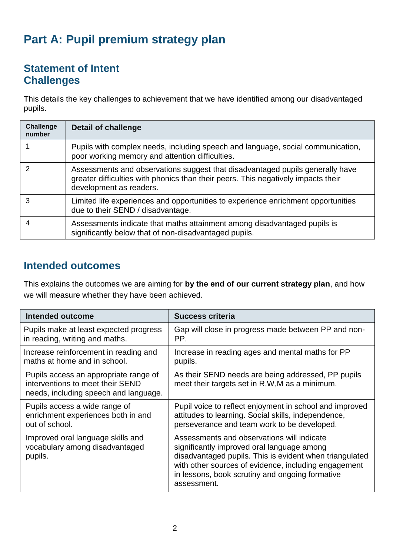# **Part A: Pupil premium strategy plan**

#### **Statement of Intent Challenges**

This details the key challenges to achievement that we have identified among our disadvantaged pupils.

| <b>Challenge</b><br>number | <b>Detail of challenge</b>                                                                                                                                                                    |
|----------------------------|-----------------------------------------------------------------------------------------------------------------------------------------------------------------------------------------------|
|                            | Pupils with complex needs, including speech and language, social communication,<br>poor working memory and attention difficulties.                                                            |
|                            | Assessments and observations suggest that disadvantaged pupils generally have<br>greater difficulties with phonics than their peers. This negatively impacts their<br>development as readers. |
| 3                          | Limited life experiences and opportunities to experience enrichment opportunities<br>due to their SEND / disadvantage.                                                                        |
| 4                          | Assessments indicate that maths attainment among disadvantaged pupils is<br>significantly below that of non-disadvantaged pupils.                                                             |

#### **Intended outcomes**

This explains the outcomes we are aiming for **by the end of our current strategy plan**, and how we will measure whether they have been achieved.

| <b>Intended outcome</b>                                                                                            | <b>Success criteria</b>                                                                                                                                                                                                                                                       |
|--------------------------------------------------------------------------------------------------------------------|-------------------------------------------------------------------------------------------------------------------------------------------------------------------------------------------------------------------------------------------------------------------------------|
| Pupils make at least expected progress                                                                             | Gap will close in progress made between PP and non-                                                                                                                                                                                                                           |
| in reading, writing and maths.                                                                                     | PP.                                                                                                                                                                                                                                                                           |
| Increase reinforcement in reading and                                                                              | Increase in reading ages and mental maths for PP                                                                                                                                                                                                                              |
| maths at home and in school.                                                                                       | pupils.                                                                                                                                                                                                                                                                       |
| Pupils access an appropriate range of<br>interventions to meet their SEND<br>needs, including speech and language. | As their SEND needs are being addressed, PP pupils<br>meet their targets set in R, W, M as a minimum.                                                                                                                                                                         |
| Pupils access a wide range of                                                                                      | Pupil voice to reflect enjoyment in school and improved                                                                                                                                                                                                                       |
| enrichment experiences both in and                                                                                 | attitudes to learning. Social skills, independence,                                                                                                                                                                                                                           |
| out of school.                                                                                                     | perseverance and team work to be developed.                                                                                                                                                                                                                                   |
| Improved oral language skills and<br>vocabulary among disadvantaged<br>pupils.                                     | Assessments and observations will indicate<br>significantly improved oral language among<br>disadvantaged pupils. This is evident when triangulated<br>with other sources of evidence, including engagement<br>in lessons, book scrutiny and ongoing formative<br>assessment. |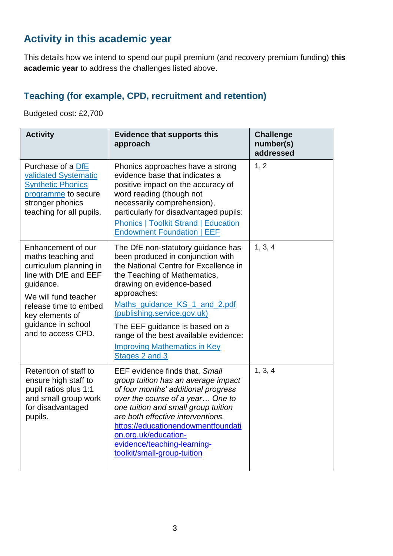### **Activity in this academic year**

This details how we intend to spend our pupil premium (and recovery premium funding) **this academic year** to address the challenges listed above.

#### **Teaching (for example, CPD, recruitment and retention)**

Budgeted cost: £2,700

| <b>Activity</b>                                                                                                                                                                                                          | <b>Evidence that supports this</b><br>approach                                                                                                                                                                                                                                                                                                                                                   | <b>Challenge</b><br>number(s)<br>addressed |
|--------------------------------------------------------------------------------------------------------------------------------------------------------------------------------------------------------------------------|--------------------------------------------------------------------------------------------------------------------------------------------------------------------------------------------------------------------------------------------------------------------------------------------------------------------------------------------------------------------------------------------------|--------------------------------------------|
| Purchase of a DfE<br>validated Systematic<br><b>Synthetic Phonics</b><br>programme to secure<br>stronger phonics<br>teaching for all pupils.                                                                             | Phonics approaches have a strong<br>evidence base that indicates a<br>positive impact on the accuracy of<br>word reading (though not<br>necessarily comprehension),<br>particularly for disadvantaged pupils:<br><b>Phonics   Toolkit Strand   Education</b><br><b>Endowment Foundation   EEF</b>                                                                                                | 1, 2                                       |
| Enhancement of our<br>maths teaching and<br>curriculum planning in<br>line with DfE and EEF<br>guidance.<br>We will fund teacher<br>release time to embed<br>key elements of<br>guidance in school<br>and to access CPD. | The DfE non-statutory guidance has<br>been produced in conjunction with<br>the National Centre for Excellence in<br>the Teaching of Mathematics,<br>drawing on evidence-based<br>approaches:<br>Maths guidance KS 1 and 2.pdf<br>(publishing.service.gov.uk)<br>The EEF guidance is based on a<br>range of the best available evidence:<br><b>Improving Mathematics in Key</b><br>Stages 2 and 3 | 1, 3, 4                                    |
| Retention of staff to<br>ensure high staff to<br>pupil ratios plus 1:1<br>and small group work<br>for disadvantaged<br>pupils.                                                                                           | EEF evidence finds that, Small<br>group tuition has an average impact<br>of four months' additional progress<br>over the course of a year One to<br>one tuition and small group tuition<br>are both effective interventions.<br>https://educationendowmentfoundati<br>on.org.uk/education-<br>evidence/teaching-learning-<br>toolkit/small-group-tuition                                         | 1, 3, 4                                    |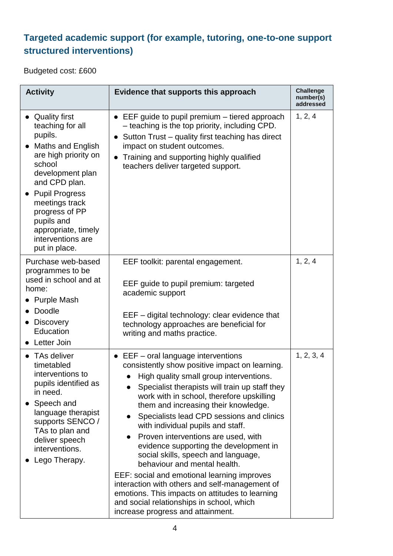### **Targeted academic support (for example, tutoring, one-to-one support structured interventions)**

Budgeted cost: £600

| <b>Activity</b>                                                                                                                                                                                                                                                                                | Evidence that supports this approach                                                                                                                                                                                                                                                                                                                                                                                                                                                                                                                                                                                                                                                                                                                            | <b>Challenge</b><br>number(s)<br>addressed |
|------------------------------------------------------------------------------------------------------------------------------------------------------------------------------------------------------------------------------------------------------------------------------------------------|-----------------------------------------------------------------------------------------------------------------------------------------------------------------------------------------------------------------------------------------------------------------------------------------------------------------------------------------------------------------------------------------------------------------------------------------------------------------------------------------------------------------------------------------------------------------------------------------------------------------------------------------------------------------------------------------------------------------------------------------------------------------|--------------------------------------------|
| <b>Quality first</b><br>teaching for all<br>pupils.<br><b>Maths and English</b><br>are high priority on<br>school<br>development plan<br>and CPD plan.<br><b>Pupil Progress</b><br>meetings track<br>progress of PP<br>pupils and<br>appropriate, timely<br>interventions are<br>put in place. | $\bullet$ EEF guide to pupil premium $-$ tiered approach<br>- teaching is the top priority, including CPD.<br>Sutton Trust – quality first teaching has direct<br>$\bullet$<br>impact on student outcomes.<br>Training and supporting highly qualified<br>$\bullet$<br>teachers deliver targeted support.                                                                                                                                                                                                                                                                                                                                                                                                                                                       | 1, 2, 4                                    |
| Purchase web-based<br>programmes to be<br>used in school and at<br>home:<br><b>Purple Mash</b><br>Doodle<br><b>Discovery</b><br>Education<br>Letter Join                                                                                                                                       | EEF toolkit: parental engagement.<br>EEF guide to pupil premium: targeted<br>academic support<br>EEF – digital technology: clear evidence that<br>technology approaches are beneficial for<br>writing and maths practice.                                                                                                                                                                                                                                                                                                                                                                                                                                                                                                                                       | 1, 2, 4                                    |
| • TAs deliver<br>timetabled<br>interventions to<br>pupils identified as<br>in need.<br>Speech and<br>language therapist<br>supports SENCO /<br>TAs to plan and<br>deliver speech<br>interventions.<br>Lego Therapy.                                                                            | $\bullet$ EEF – oral language interventions<br>consistently show positive impact on learning.<br>High quality small group interventions.<br>Specialist therapists will train up staff they<br>work with in school, therefore upskilling<br>them and increasing their knowledge.<br>Specialists lead CPD sessions and clinics<br>with individual pupils and staff.<br>Proven interventions are used, with<br>evidence supporting the development in<br>social skills, speech and language,<br>behaviour and mental health.<br>EEF: social and emotional learning improves<br>interaction with others and self-management of<br>emotions. This impacts on attitudes to learning<br>and social relationships in school, which<br>increase progress and attainment. | 1, 2, 3, 4                                 |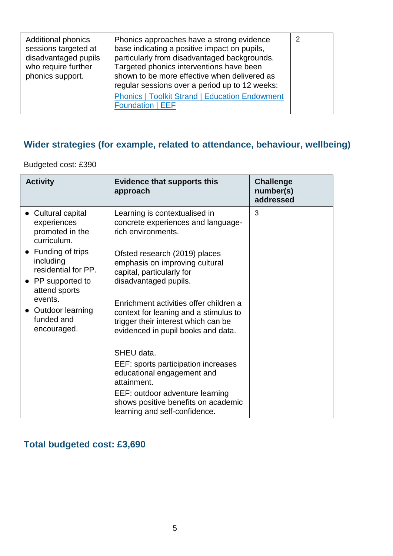| <b>Additional phonics</b><br>sessions targeted at<br>disadvantaged pupils<br>who require further<br>phonics support. | Phonics approaches have a strong evidence<br>base indicating a positive impact on pupils,<br>particularly from disadvantaged backgrounds.<br>Targeted phonics interventions have been<br>shown to be more effective when delivered as<br>regular sessions over a period up to 12 weeks: | 2 |
|----------------------------------------------------------------------------------------------------------------------|-----------------------------------------------------------------------------------------------------------------------------------------------------------------------------------------------------------------------------------------------------------------------------------------|---|
|                                                                                                                      | <b>Phonics   Toolkit Strand   Education Endowment</b><br><b>Foundation   EEF</b>                                                                                                                                                                                                        |   |

### **Wider strategies (for example, related to attendance, behaviour, wellbeing)**

Budgeted cost: £390

| <b>Activity</b>                                                                              | <b>Evidence that supports this</b><br>approach                                                                                                               | <b>Challenge</b><br>number(s)<br>addressed |
|----------------------------------------------------------------------------------------------|--------------------------------------------------------------------------------------------------------------------------------------------------------------|--------------------------------------------|
| • Cultural capital<br>experiences<br>promoted in the<br>curriculum.                          | Learning is contextualised in<br>concrete experiences and language-<br>rich environments.                                                                    | 3                                          |
| • Funding of trips<br>including<br>residential for PP.<br>• PP supported to<br>attend sports | Ofsted research (2019) places<br>emphasis on improving cultural<br>capital, particularly for<br>disadvantaged pupils.                                        |                                            |
| events.<br>Outdoor learning<br>funded and<br>encouraged.                                     | Enrichment activities offer children a<br>context for leaning and a stimulus to<br>trigger their interest which can be<br>evidenced in pupil books and data. |                                            |
|                                                                                              | SHEU data.                                                                                                                                                   |                                            |
|                                                                                              | EEF: sports participation increases<br>educational engagement and<br>attainment.                                                                             |                                            |
|                                                                                              | EEF: outdoor adventure learning<br>shows positive benefits on academic<br>learning and self-confidence.                                                      |                                            |

### **Total budgeted cost: £3,690**